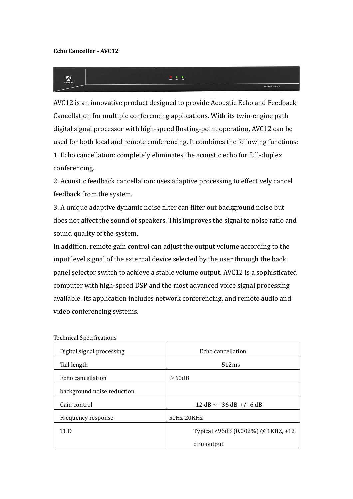$\sum_{i=1}^{n}$ 



TYCHO.

AVC12 is an innovative product designed to provide Acoustic Echo and Feedback Cancellation for multiple conferencing applications. With its twin-engine path digital signal processor with high-speed floating-point operation, AVC12 can be used for both local and remote conferencing. It combines the following functions: 1. Echo cancellation: completely eliminates the acoustic echo for full-duplex conferencing.

2. Acoustic feedback cancellation: uses adaptive processing to effectively cancel feedback from the system.

3. A unique adaptive dynamic noise filter can filter out background noise but does not affect the sound of speakers. This improves the signal to noise ratio and sound quality of the system.

In addition, remote gain control can adjust the output volume according to the input level signal of the external device selected by the user through the back panel selector switch to achieve a stable volume output. AVC12 is a sophisticated computer with high-speed DSP and the most advanced voice signal processing available. Its application includes network conferencing, and remote audio and video conferencing systems.

| Digital signal processing  | Echo cancellation                  |
|----------------------------|------------------------------------|
| Tail length                | 512ms                              |
| Echo cancellation          | $>$ 60dB                           |
| background noise reduction |                                    |
| Gain control               | $-12$ dB $\sim$ +36 dB, +/- 6 dB   |
| Frequency response         | 50Hz-20KHz                         |
| THD                        | Typical <96dB (0.002%) @ 1KHZ, +12 |
|                            | dBu output                         |

Technical Specifications